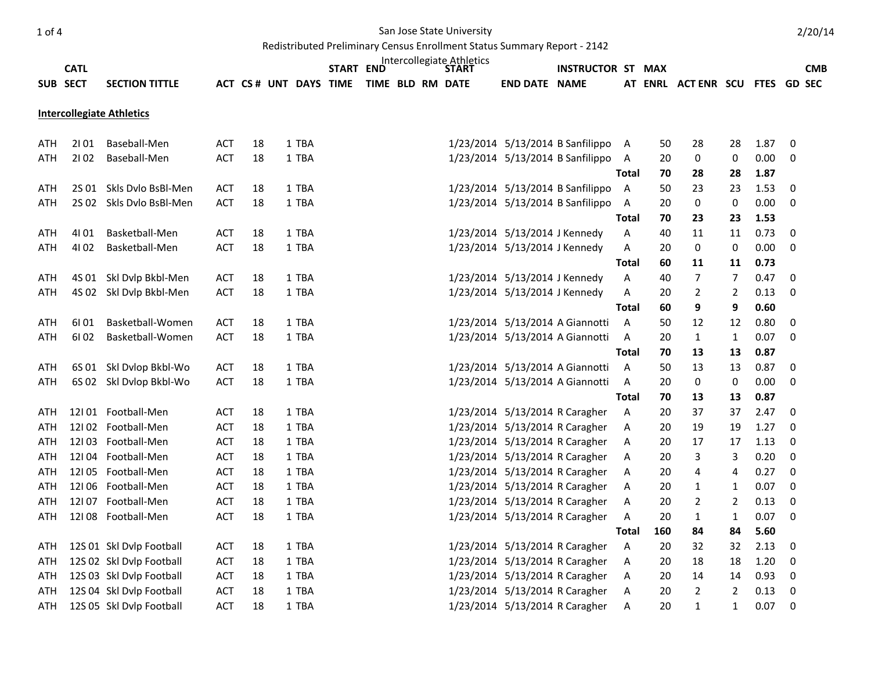## 1 of 4 San Jose State University

Redistributed Preliminary Census Enrollment Status Summary Report - 2142

| Intercollegiate Athletics<br><b>CATL</b><br><b>START END</b><br><b>INSTRUCTOR ST MAX</b><br><b>CMB</b><br><b>START</b> |          |                          |            |    |  |                        |  |  |  |  |                  |                               |                                  |                |     |                                |                |      |                  |
|------------------------------------------------------------------------------------------------------------------------|----------|--------------------------|------------|----|--|------------------------|--|--|--|--|------------------|-------------------------------|----------------------------------|----------------|-----|--------------------------------|----------------|------|------------------|
|                                                                                                                        | SUB SECT | <b>SECTION TITTLE</b>    |            |    |  | ACT CS # UNT DAYS TIME |  |  |  |  | TIME BLD RM DATE | <b>END DATE NAME</b>          |                                  |                |     | AT ENRL ACTENR SCU FTES GD SEC |                |      |                  |
|                                                                                                                        |          |                          |            |    |  |                        |  |  |  |  |                  |                               |                                  |                |     |                                |                |      |                  |
| <b>Intercollegiate Athletics</b>                                                                                       |          |                          |            |    |  |                        |  |  |  |  |                  |                               |                                  |                |     |                                |                |      |                  |
|                                                                                                                        |          |                          |            |    |  |                        |  |  |  |  |                  |                               |                                  |                |     |                                |                |      |                  |
| ATH                                                                                                                    | 2101     | Baseball-Men             | <b>ACT</b> | 18 |  | 1 TBA                  |  |  |  |  |                  |                               | 1/23/2014 5/13/2014 B Sanfilippo | A              | 50  | 28                             | 28             | 1.87 | $\mathbf 0$      |
| ATH                                                                                                                    | 2102     | Baseball-Men             | <b>ACT</b> | 18 |  | 1 TBA                  |  |  |  |  |                  |                               | 1/23/2014 5/13/2014 B Sanfilippo | A              | 20  | 0                              | 0              | 0.00 | 0                |
|                                                                                                                        |          |                          |            |    |  |                        |  |  |  |  |                  |                               |                                  | <b>Total</b>   | 70  | 28                             | 28             | 1.87 |                  |
| ATH                                                                                                                    | 2S 01    | Skls Dylo BsBl-Men       | ACT        | 18 |  | 1 TBA                  |  |  |  |  |                  |                               | 1/23/2014 5/13/2014 B Sanfilippo | $\overline{A}$ | 50  | 23                             | 23             | 1.53 | $\pmb{0}$        |
| ATH                                                                                                                    |          | 2S 02 Skls Dvlo BsBl-Men | <b>ACT</b> | 18 |  | 1 TBA                  |  |  |  |  |                  |                               | 1/23/2014 5/13/2014 B Sanfilippo | $\overline{A}$ | 20  | $\pmb{0}$                      | $\pmb{0}$      | 0.00 | $\pmb{0}$        |
|                                                                                                                        |          |                          |            |    |  |                        |  |  |  |  |                  |                               |                                  | <b>Total</b>   | 70  | 23                             | 23             | 1.53 |                  |
| ATH                                                                                                                    | 41 01    | Basketball-Men           | <b>ACT</b> | 18 |  | 1 TBA                  |  |  |  |  |                  | 1/23/2014 5/13/2014 J Kennedy |                                  | Α              | 40  | 11                             | 11             | 0.73 | 0                |
| <b>ATH</b>                                                                                                             | 4102     | Basketball-Men           | <b>ACT</b> | 18 |  | 1 TBA                  |  |  |  |  |                  | 1/23/2014 5/13/2014 J Kennedy |                                  | А              | 20  | 0                              | 0              | 0.00 | 0                |
|                                                                                                                        |          |                          |            |    |  |                        |  |  |  |  |                  |                               |                                  | <b>Total</b>   | 60  | 11                             | 11             | 0.73 |                  |
| ATH                                                                                                                    |          | 4S 01 Skl Dvlp Bkbl-Men  | ACT        | 18 |  | 1 TBA                  |  |  |  |  |                  | 1/23/2014 5/13/2014 J Kennedy |                                  | Α              | 40  | 7                              | 7              | 0.47 | 0                |
| <b>ATH</b>                                                                                                             |          | 4S 02 Skl Dvlp Bkbl-Men  | <b>ACT</b> | 18 |  | 1 TBA                  |  |  |  |  |                  | 1/23/2014 5/13/2014 J Kennedy |                                  | Α              | 20  | $\overline{2}$                 | $\overline{2}$ | 0.13 | $\pmb{0}$        |
|                                                                                                                        |          |                          |            |    |  |                        |  |  |  |  |                  |                               |                                  | <b>Total</b>   | 60  | 9                              | 9              | 0.60 |                  |
| ATH                                                                                                                    | 61 01    | Basketball-Women         | ACT        | 18 |  | 1 TBA                  |  |  |  |  |                  |                               | 1/23/2014 5/13/2014 A Giannotti  | A              | 50  | 12                             | 12             | 0.80 | $\pmb{0}$        |
| ATH                                                                                                                    | 61 02    | Basketball-Women         | <b>ACT</b> | 18 |  | 1 TBA                  |  |  |  |  |                  |                               | 1/23/2014 5/13/2014 A Giannotti  | Α              | 20  | $\mathbf{1}$                   | 1              | 0.07 | 0                |
|                                                                                                                        |          |                          |            |    |  |                        |  |  |  |  |                  |                               |                                  | <b>Total</b>   | 70  | 13                             | 13             | 0.87 |                  |
| ATH                                                                                                                    |          | 6S 01 Skl Dvlop Bkbl-Wo  | ACT        | 18 |  | 1 TBA                  |  |  |  |  |                  |                               | 1/23/2014 5/13/2014 A Giannotti  | A              | 50  | 13                             | 13             | 0.87 | $\pmb{0}$        |
| ATH                                                                                                                    |          | 6S 02 Skl Dvlop Bkbl-Wo  | <b>ACT</b> | 18 |  | 1 TBA                  |  |  |  |  |                  |                               | 1/23/2014 5/13/2014 A Giannotti  | A              | 20  | $\pmb{0}$                      | $\pmb{0}$      | 0.00 | $\pmb{0}$        |
|                                                                                                                        |          |                          |            |    |  |                        |  |  |  |  |                  |                               |                                  | <b>Total</b>   | 70  | 13                             | 13             | 0.87 |                  |
| ATH                                                                                                                    |          | 12101 Football-Men       | <b>ACT</b> | 18 |  | 1 TBA                  |  |  |  |  |                  |                               | 1/23/2014 5/13/2014 R Caragher   | A              | 20  | 37                             | 37             | 2.47 | 0                |
| ATH                                                                                                                    |          | 12I02 Football-Men       | ACT        | 18 |  | 1 TBA                  |  |  |  |  |                  |                               | 1/23/2014 5/13/2014 R Caragher   | Α              | 20  | 19                             | 19             | 1.27 | $\pmb{0}$        |
| ATH                                                                                                                    |          | 12103 Football-Men       | ACT        | 18 |  | 1 TBA                  |  |  |  |  |                  |                               | 1/23/2014 5/13/2014 R Caragher   | Α              | 20  | 17                             | 17             | 1.13 | 0                |
| ATH                                                                                                                    |          | 12104 Football-Men       | ACT        | 18 |  | 1 TBA                  |  |  |  |  |                  |                               | 1/23/2014 5/13/2014 R Caragher   | Α              | 20  | 3                              | 3              | 0.20 | $\pmb{0}$        |
| ATH                                                                                                                    |          | 12105 Football-Men       | <b>ACT</b> | 18 |  | 1 TBA                  |  |  |  |  |                  |                               | 1/23/2014 5/13/2014 R Caragher   | Α              | 20  | 4                              | 4              | 0.27 | 0                |
| <b>ATH</b>                                                                                                             |          | 12106 Football-Men       | ACT        | 18 |  | 1 TBA                  |  |  |  |  |                  |                               | 1/23/2014 5/13/2014 R Caragher   | Α              | 20  | $\mathbf{1}$                   | 1              | 0.07 | $\boldsymbol{0}$ |
| ATH                                                                                                                    |          | 12107 Football-Men       | ACT        | 18 |  | 1 TBA                  |  |  |  |  |                  |                               | 1/23/2014 5/13/2014 R Caragher   | A              | 20  | $\mathbf{2}$                   | $\overline{2}$ | 0.13 | $\pmb{0}$        |
| ATH                                                                                                                    |          | 12108 Football-Men       | <b>ACT</b> | 18 |  | 1 TBA                  |  |  |  |  |                  |                               | 1/23/2014 5/13/2014 R Caragher   | Α              | 20  | $\mathbf{1}$                   | 1              | 0.07 | 0                |
|                                                                                                                        |          |                          |            |    |  |                        |  |  |  |  |                  |                               |                                  | <b>Total</b>   | 160 | 84                             | 84             | 5.60 |                  |
| ATH                                                                                                                    |          | 12S 01 Skl Dvlp Football | ACT        | 18 |  | 1 TBA                  |  |  |  |  |                  |                               | 1/23/2014 5/13/2014 R Caragher   | A              | 20  | 32                             | 32             | 2.13 | $\pmb{0}$        |
| ATH                                                                                                                    |          | 12S 02 Skl Dvlp Football | <b>ACT</b> | 18 |  | 1 TBA                  |  |  |  |  |                  |                               | 1/23/2014 5/13/2014 R Caragher   | Α              | 20  | 18                             | 18             | 1.20 | 0                |
| ATH                                                                                                                    |          | 12S 03 Skl Dvlp Football | ACT        | 18 |  | 1 TBA                  |  |  |  |  |                  |                               | 1/23/2014 5/13/2014 R Caragher   | Α              | 20  | 14                             | 14             | 0.93 | 0                |
| ATH                                                                                                                    |          | 12S 04 Skl Dvlp Football | <b>ACT</b> | 18 |  | 1 TBA                  |  |  |  |  |                  |                               | 1/23/2014 5/13/2014 R Caragher   | Α              | 20  | $\overline{2}$                 | $\overline{2}$ | 0.13 | $\pmb{0}$        |
| <b>ATH</b>                                                                                                             |          | 12S 05 Skl Dvlp Football | <b>ACT</b> | 18 |  | 1 TBA                  |  |  |  |  |                  |                               | 1/23/2014 5/13/2014 R Caragher   | A              | 20  | $\mathbf{1}$                   | $\mathbf{1}$   | 0.07 | $\mathbf 0$      |

2/20/14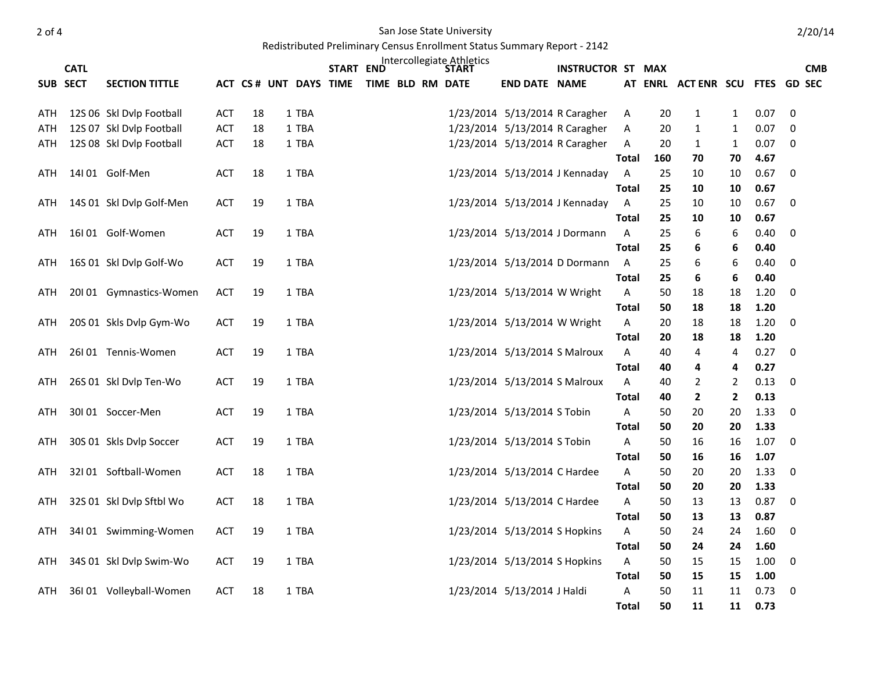2 of 4 San Jose State University

Redistributed Preliminary Census Enrollment Status Summary Report - 2142

|     | <b>CATL</b> |                          |            |    |                        | START END |                  |  | Intercollegiate Athletics<br>START |                                | <b>INSTRUCTOR ST MAX</b>       |              |          |                                  |                                  |              | <b>CMB</b>         |
|-----|-------------|--------------------------|------------|----|------------------------|-----------|------------------|--|------------------------------------|--------------------------------|--------------------------------|--------------|----------|----------------------------------|----------------------------------|--------------|--------------------|
|     | SUB SECT    | <b>SECTION TITTLE</b>    |            |    | ACT CS # UNT DAYS TIME |           | TIME BLD RM DATE |  |                                    | <b>END DATE NAME</b>           |                                |              |          | AT ENRL ACTENR SCU               |                                  |              | <b>FTES GD SEC</b> |
|     |             |                          |            |    |                        |           |                  |  |                                    |                                |                                |              |          |                                  |                                  |              |                    |
| ATH |             | 12S 06 Skl Dvlp Football | ACT        | 18 | 1 TBA                  |           |                  |  |                                    | 1/23/2014 5/13/2014 R Caragher |                                | Α            | 20       | $\mathbf{1}$                     | $\mathbf{1}$                     | 0.07         | $\mathbf 0$        |
| ATH |             | 12S 07 Skl Dvlp Football | ACT        | 18 | 1 TBA                  |           |                  |  |                                    | 1/23/2014 5/13/2014 R Caragher |                                | Α            | 20       | $\mathbf{1}$                     | 1                                | 0.07         | 0                  |
| ATH |             | 12S 08 Skl Dvlp Football | ACT        | 18 | 1 TBA                  |           |                  |  |                                    | 1/23/2014 5/13/2014 R Caragher |                                | Α            | 20       | 1                                | 1                                | 0.07         | 0                  |
|     |             |                          |            |    |                        |           |                  |  |                                    |                                |                                | <b>Total</b> | 160      | 70                               | 70                               | 4.67         |                    |
| ATH |             | 14l 01 Golf-Men          | <b>ACT</b> | 18 | 1 TBA                  |           |                  |  |                                    |                                | 1/23/2014 5/13/2014 J Kennaday | $\mathsf{A}$ | 25       | 10                               | 10                               | 0.67         | 0                  |
|     |             |                          |            |    |                        |           |                  |  |                                    |                                |                                | <b>Total</b> | 25       | 10                               | 10                               | 0.67         |                    |
| ATH |             | 14S 01 Skl Dvlp Golf-Men | ACT        | 19 | 1 TBA                  |           |                  |  |                                    |                                | 1/23/2014 5/13/2014 J Kennaday | A            | 25       | 10                               | 10                               | 0.67         | $\boldsymbol{0}$   |
|     |             |                          |            |    |                        |           |                  |  |                                    |                                |                                | Total        | 25       | 10                               | 10                               | 0.67         |                    |
| ATH |             | 16101 Golf-Women         | <b>ACT</b> | 19 | 1 TBA                  |           |                  |  |                                    | 1/23/2014 5/13/2014 J Dormann  |                                | A            | 25       | 6                                | 6                                | 0.40         | 0                  |
|     |             |                          |            |    |                        |           |                  |  |                                    |                                |                                | <b>Total</b> | 25       | 6                                | 6                                | 0.40         |                    |
| ATH |             | 16S 01 Skl Dvlp Golf-Wo  | <b>ACT</b> | 19 | 1 TBA                  |           |                  |  |                                    |                                | 1/23/2014 5/13/2014 D Dormann  | $\mathsf{A}$ | 25       | 6                                | 6                                | 0.40         | 0                  |
|     |             |                          |            |    |                        |           |                  |  |                                    |                                |                                | <b>Total</b> | 25       | 6                                | 6                                | 0.40         |                    |
| ATH |             | 20101 Gymnastics-Women   | <b>ACT</b> | 19 | 1 TBA                  |           |                  |  |                                    | 1/23/2014 5/13/2014 W Wright   |                                | Α            | 50       | 18                               | 18                               | 1.20         | $\mathbf 0$        |
|     |             |                          |            |    |                        |           |                  |  |                                    |                                |                                | Total        | 50       | 18                               | 18                               | 1.20         |                    |
| ATH |             | 20S 01 Skls Dvlp Gym-Wo  | <b>ACT</b> | 19 | 1 TBA                  |           |                  |  |                                    | 1/23/2014 5/13/2014 W Wright   |                                | Α            | 20       | 18                               | 18                               | 1.20         | 0                  |
|     |             |                          |            |    |                        |           |                  |  |                                    |                                |                                | <b>Total</b> | 20       | 18                               | 18                               | 1.20         |                    |
| ATH |             | 26101 Tennis-Women       | <b>ACT</b> | 19 | 1 TBA                  |           |                  |  |                                    | 1/23/2014 5/13/2014 S Malroux  |                                | Α            | 40       | 4                                | $\overline{4}$                   | 0.27         | 0                  |
|     |             |                          | ACT        | 19 | 1 TBA                  |           |                  |  |                                    |                                |                                | <b>Total</b> | 40<br>40 | 4                                | 4                                | 0.27<br>0.13 |                    |
| ATH |             | 26S 01 Skl Dvlp Ten-Wo   |            |    |                        |           |                  |  |                                    | 1/23/2014 5/13/2014 S Malroux  |                                | Α<br>Total   | 40       | $\overline{2}$<br>$\overline{2}$ | $\overline{2}$<br>$\overline{2}$ | 0.13         | $\boldsymbol{0}$   |
| ATH |             | 30101 Soccer-Men         | ACT        | 19 | 1 TBA                  |           |                  |  |                                    | 1/23/2014 5/13/2014 S Tobin    |                                | Α            | 50       | 20                               | 20                               | 1.33         | 0                  |
|     |             |                          |            |    |                        |           |                  |  |                                    |                                |                                | <b>Total</b> | 50       | 20                               | 20                               | 1.33         |                    |
| ATH |             | 30S 01 Skls Dvlp Soccer  | <b>ACT</b> | 19 | 1 TBA                  |           |                  |  |                                    | 1/23/2014 5/13/2014 S Tobin    |                                | Α            | 50       | 16                               | 16                               | 1.07         | 0                  |
|     |             |                          |            |    |                        |           |                  |  |                                    |                                |                                | <b>Total</b> | 50       | 16                               | 16                               | 1.07         |                    |
| ATH |             | 32I01 Softball-Women     | ACT        | 18 | 1 TBA                  |           |                  |  |                                    | 1/23/2014 5/13/2014 C Hardee   |                                | Α            | 50       | 20                               | 20                               | 1.33         | $\boldsymbol{0}$   |
|     |             |                          |            |    |                        |           |                  |  |                                    |                                |                                | <b>Total</b> | 50       | 20                               | 20                               | 1.33         |                    |
| ATH |             | 32S 01 Skl Dvlp Sftbl Wo | ACT        | 18 | 1 TBA                  |           |                  |  |                                    | 1/23/2014 5/13/2014 C Hardee   |                                | Α            | 50       | 13                               | 13                               | 0.87         | 0                  |
|     |             |                          |            |    |                        |           |                  |  |                                    |                                |                                | <b>Total</b> | 50       | 13                               | 13                               | 0.87         |                    |
| ATH |             | 34101 Swimming-Women     | <b>ACT</b> | 19 | 1 TBA                  |           |                  |  |                                    | 1/23/2014 5/13/2014 S Hopkins  |                                | Α            | 50       | 24                               | 24                               | 1.60         | 0                  |
|     |             |                          |            |    |                        |           |                  |  |                                    |                                |                                | <b>Total</b> | 50       | 24                               | 24                               | 1.60         |                    |
| ATH |             | 34S 01 Skl Dvlp Swim-Wo  | <b>ACT</b> | 19 | 1 TBA                  |           |                  |  |                                    | 1/23/2014 5/13/2014 S Hopkins  |                                | Α            | 50       | 15                               | 15                               | 1.00         | 0                  |
|     |             |                          |            |    |                        |           |                  |  |                                    |                                |                                | <b>Total</b> | 50       | 15                               | 15                               | 1.00         |                    |
| ATH |             | 36101 Volleyball-Women   | <b>ACT</b> | 18 | 1 TBA                  |           |                  |  |                                    | 1/23/2014 5/13/2014 J Haldi    |                                | A            | 50       | 11                               | 11                               | 0.73         | $\boldsymbol{0}$   |
|     |             |                          |            |    |                        |           |                  |  |                                    |                                |                                | Total        | 50       | 11                               | 11                               | 0.73         |                    |

2/20/14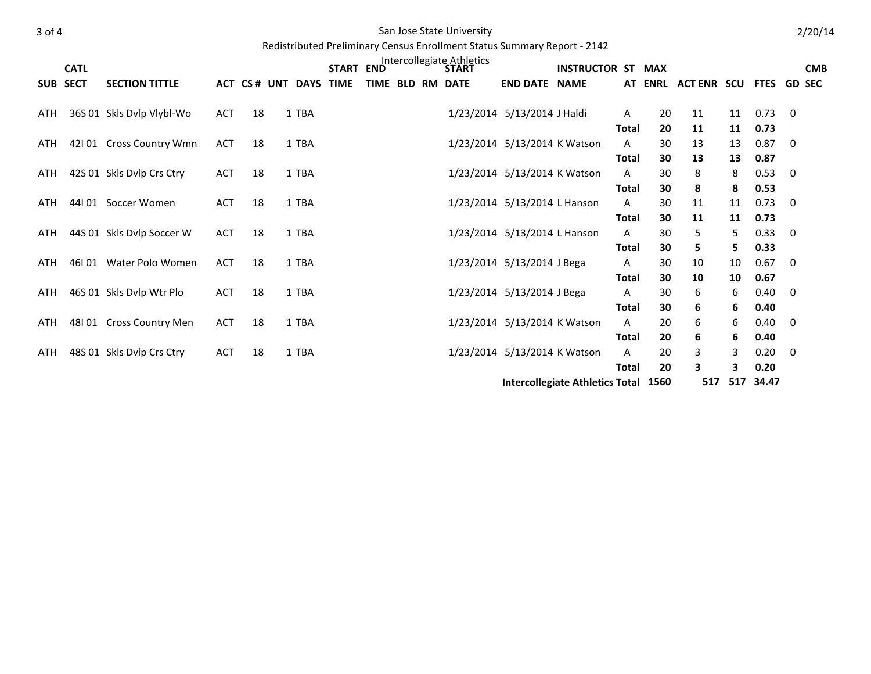## 3 of 4 San Jose State University

Redistributed Preliminary Census Enrollment Status Summary Report - 2142

|            | <b>CATL</b> |                           |            |    |                        | START END |  | Intercollegiate Athletics<br>STAR1 |                              | <b>INSTRUCTOR ST MAX</b>               |                   |                |                    |          |               |             | <b>CMB</b> |
|------------|-------------|---------------------------|------------|----|------------------------|-----------|--|------------------------------------|------------------------------|----------------------------------------|-------------------|----------------|--------------------|----------|---------------|-------------|------------|
|            | SUB SECT    | <b>SECTION TITTLE</b>     |            |    | ACT CS # UNT DAYS TIME |           |  | TIME BLD RM DATE                   | <b>END DATE NAME</b>         |                                        |                   | <b>AT ENRL</b> | <b>ACT ENR SCU</b> |          | FTES GD SEC   |             |            |
| ATH        |             | 36S 01 Skls Dvlp Vlybl-Wo | ACT        | 18 | 1 TBA                  |           |  |                                    | 1/23/2014 5/13/2014 J Haldi  |                                        | A                 | 20             | 11                 | 11       | 0.73          | $\mathbf 0$ |            |
| ATH        |             | 42101 Cross Country Wmn   | <b>ACT</b> | 18 | 1 TBA                  |           |  |                                    | 1/23/2014 5/13/2014 K Watson |                                        | <b>Total</b><br>Α | 20<br>30       | 11<br>13           | 11<br>13 | 0.73<br>0.87  | 0           |            |
| ATH        |             | 42S 01 Skls Dvlp Crs Ctry | <b>ACT</b> | 18 | 1 TBA                  |           |  |                                    | 1/23/2014 5/13/2014 K Watson |                                        | <b>Total</b><br>Α | 30<br>30       | 13<br>8            | 13<br>8  | 0.87<br>0.53  | 0           |            |
| <b>ATH</b> |             | 44I 01 Soccer Women       | <b>ACT</b> | 18 | 1 TBA                  |           |  |                                    | 1/23/2014 5/13/2014 L Hanson |                                        | Total<br>Α        | 30<br>30       | 8<br>11            | 8<br>11  | 0.53<br>0.73  | 0           |            |
| ATH        |             | 44S 01 Skls Dvlp Soccer W | <b>ACT</b> | 18 | 1 TBA                  |           |  |                                    | 1/23/2014 5/13/2014 L Hanson |                                        | <b>Total</b><br>A | 30<br>30       | 11<br>5            | 11<br>5. | 0.73<br>0.33  | $\mathbf 0$ |            |
| ATH        |             | 46101 Water Polo Women    | <b>ACT</b> | 18 | 1 TBA                  |           |  |                                    | 1/23/2014 5/13/2014 J Bega   |                                        | Total<br>Α        | 30<br>30       | 5.<br>10           | 5.<br>10 | 0.33<br>0.67  | $\mathbf 0$ |            |
| ATH        |             | 46S 01 Skls Dvlp Wtr Plo  | <b>ACT</b> | 18 | 1 TBA                  |           |  |                                    | 1/23/2014 5/13/2014 J Bega   |                                        | <b>Total</b><br>A | 30<br>30       | 10<br>6            | 10<br>6  | 0.67<br>0.40  | 0           |            |
| ATH        |             | 48101 Cross Country Men   | ACT        | 18 | 1 TBA                  |           |  |                                    | 1/23/2014 5/13/2014 K Watson |                                        | Total<br>A        | 30<br>20       | 6<br>6             | 6<br>6   | 0.40<br>0.40  | $\mathbf 0$ |            |
| ATH        |             | 48S 01 Skls Dvlp Crs Ctry | <b>ACT</b> | 18 | 1 TBA                  |           |  |                                    | 1/23/2014 5/13/2014 K Watson |                                        | <b>Total</b><br>Α | 20<br>20       | 6<br>3             | 6<br>3   | 0.40<br>0.20  | 0           |            |
|            |             |                           |            |    |                        |           |  |                                    |                              | <b>Intercollegiate Athletics Total</b> | <b>Total</b>      | 20<br>1560     | 3<br>517           | 3<br>517 | 0.20<br>34.47 |             |            |